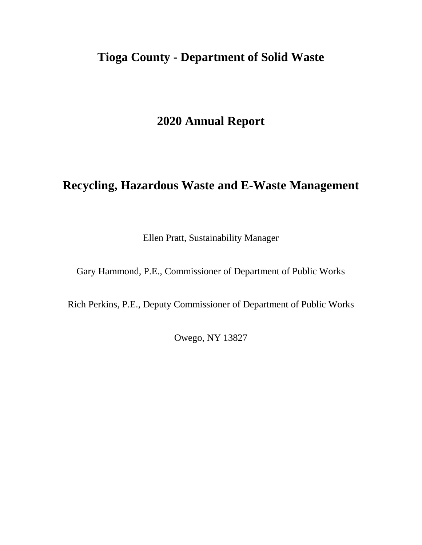# **Tioga County - Department of Solid Waste**

# **2020 Annual Report**

# **Recycling, Hazardous Waste and E-Waste Management**

Ellen Pratt, Sustainability Manager

Gary Hammond, P.E., Commissioner of Department of Public Works

Rich Perkins, P.E., Deputy Commissioner of Department of Public Works

Owego, NY 13827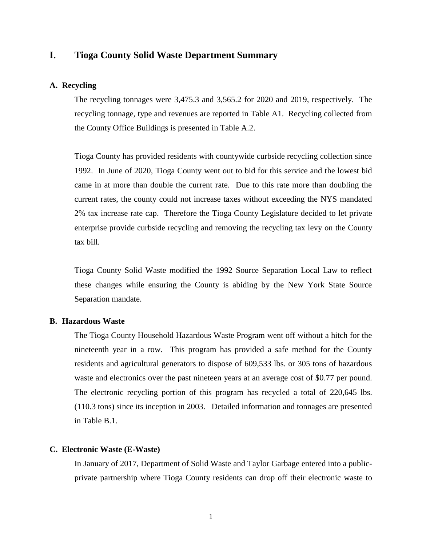## **I. Tioga County Solid Waste Department Summary**

### **A. Recycling**

The recycling tonnages were 3,475.3 and 3,565.2 for 2020 and 2019, respectively. The recycling tonnage, type and revenues are reported in Table A1. Recycling collected from the County Office Buildings is presented in Table A.2.

Tioga County has provided residents with countywide curbside recycling collection since 1992. In June of 2020, Tioga County went out to bid for this service and the lowest bid came in at more than double the current rate. Due to this rate more than doubling the current rates, the county could not increase taxes without exceeding the NYS mandated 2% tax increase rate cap. Therefore the Tioga County Legislature decided to let private enterprise provide curbside recycling and removing the recycling tax levy on the County tax bill.

Tioga County Solid Waste modified the 1992 Source Separation Local Law to reflect these changes while ensuring the County is abiding by the New York State Source Separation mandate.

### **B. Hazardous Waste**

The Tioga County Household Hazardous Waste Program went off without a hitch for the nineteenth year in a row. This program has provided a safe method for the County residents and agricultural generators to dispose of 609,533 lbs. or 305 tons of hazardous waste and electronics over the past nineteen years at an average cost of \$0.77 per pound. The electronic recycling portion of this program has recycled a total of 220,645 lbs. (110.3 tons) since its inception in 2003. Detailed information and tonnages are presented in Table B.1.

#### **C. Electronic Waste (E-Waste)**

In January of 2017, Department of Solid Waste and Taylor Garbage entered into a publicprivate partnership where Tioga County residents can drop off their electronic waste to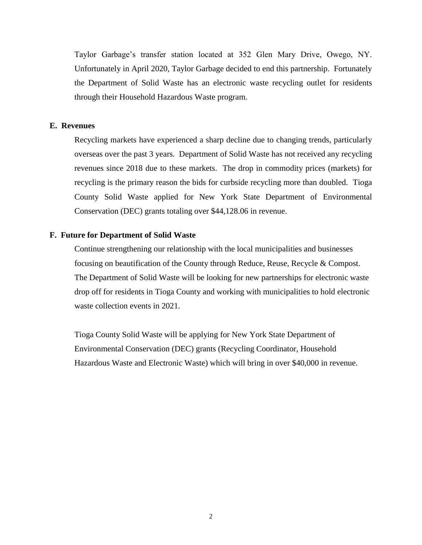Taylor Garbage's transfer station located at 352 Glen Mary Drive, Owego, NY. Unfortunately in April 2020, Taylor Garbage decided to end this partnership. Fortunately the Department of Solid Waste has an electronic waste recycling outlet for residents through their Household Hazardous Waste program.

#### **E. Revenues**

Recycling markets have experienced a sharp decline due to changing trends, particularly overseas over the past 3 years. Department of Solid Waste has not received any recycling revenues since 2018 due to these markets. The drop in commodity prices (markets) for recycling is the primary reason the bids for curbside recycling more than doubled. Tioga County Solid Waste applied for New York State Department of Environmental Conservation (DEC) grants totaling over \$44,128.06 in revenue.

### **F. Future for Department of Solid Waste**

Continue strengthening our relationship with the local municipalities and businesses focusing on beautification of the County through Reduce, Reuse, Recycle & Compost. The Department of Solid Waste will be looking for new partnerships for electronic waste drop off for residents in Tioga County and working with municipalities to hold electronic waste collection events in 2021.

Tioga County Solid Waste will be applying for New York State Department of Environmental Conservation (DEC) grants (Recycling Coordinator, Household Hazardous Waste and Electronic Waste) which will bring in over \$40,000 in revenue.